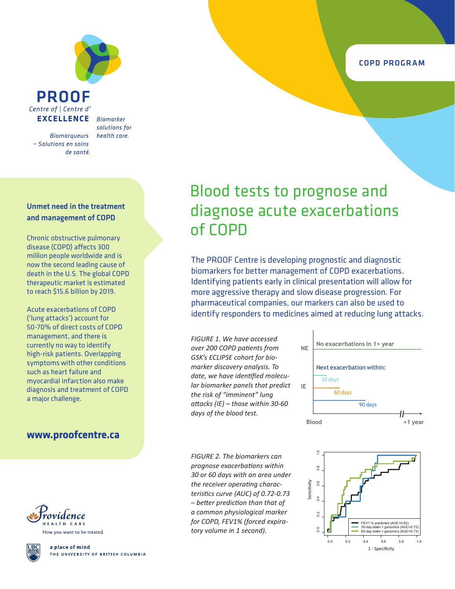**PROOF** Centre of | Centre d' **EXCELLENCE** 

**Biomarqueurs** - Solutions en soins de santé.

**Biomarker** solutions for health care.

#### Unmet need in the treatment and management of COPD

Chronic obstructive pulmonary disease (COPD) affects 300 million people worldwide and is now the second leading cause of death in the U.S. The global COPD therapeutic market is estimated to reach \$15.6 billion by 2019.

Acute exacerbations of COPD ('lung attacks') account for 50-70% of direct costs of COPD management, and there is currently no way to identify high-risk patients. Overlapping symptoms with other conditions such as heart failure and myocardial infarction also make diagnosis and treatment of COPD a major challenge.

### **www.proofcentre.ca**



How you want to be treated.



a place of mind THE UNIVERSITY OF BRITISH COLUMBIA

# Blood tests to prognose and diagnose acute exacerbations of COPD

The PROOF Centre is developing prognostic and diagnostic biomarkers for better management of COPD exacerbations. Identifying patients early in clinical presentation will allow for more aggressive therapy and slow disease progression. For pharmaceutical companies, our markers can also be used to identify responders to medicines aimed at reducing lung attacks.

*FIGURE 1. We have accessed over 200 COPD patients from GSK's ECLIPSE cohort for biomarker discovery analysis. To date, we have identified molecular biomarker panels that predict the risk of "imminent" lung attacks (IE) – those within 30-60 days of the blood test.*

Next exacerbation within:  $\overline{30}$  days 60 days 90 days **Blood +1 year NE No exacerbations in 1+ year IE**

*FIGURE 2. The biomarkers can prognose exacerbations within 30 or 60 days with an area under the receiver operating characteristics curve (AUC) of 0.72-0.73 – better prediction than that of a common physiological marker for COPD, FEV1% (forced expiratory volume in 1 second).*



#### COPD PROGRAM